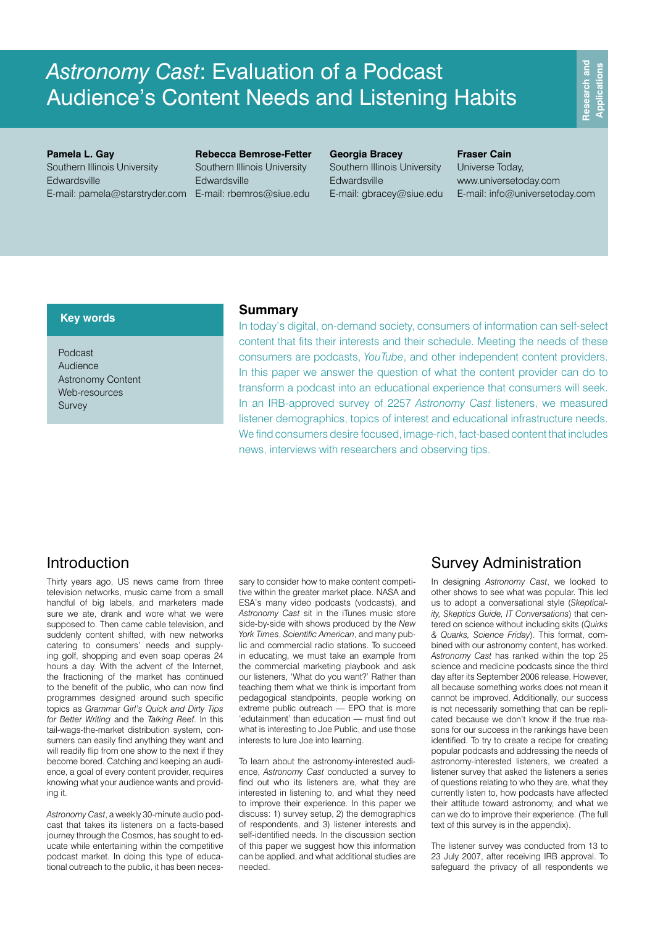**Pamela L. Gay** Southern Illinois University Edwardsville E-mail: pamela@starstryder.com E-mail: rbemros@siue.edu

**Rebecca Bemrose-Fetter** Southern Illinois University **Edwardsville** 

**Georgia Bracey** Southern Illinois University Edwardsville E-mail: gbracey@siue.edu

### **Fraser Cain**

Universe Today, www.universetoday.com E-mail: info@universetoday.com

### **Key words**

Podcast Audience Astronomy Content Web-resources Survey

### **Summary**

In today's digital, on-demand society, consumers of information can self-select content that fits their interests and their schedule. Meeting the needs of these consumers are podcasts, *YouTube*, and other independent content providers. In this paper we answer the question of what the content provider can do to transform a podcast into an educational experience that consumers will seek. In an IRB-approved survey of 2257 *Astronomy Cast* listeners, we measured listener demographics, topics of interest and educational infrastructure needs. We find consumers desire focused, image-rich, fact-based content that includes news, interviews with researchers and observing tips.

## Introduction

Thirty years ago, US news came from three television networks, music came from a small handful of big labels, and marketers made sure we ate, drank and wore what we were supposed to. Then came cable television, and suddenly content shifted, with new networks catering to consumers' needs and supplying golf, shopping and even soap operas 24 hours a day. With the advent of the Internet, the fractioning of the market has continued to the benefit of the public, who can now find programmes designed around such specific topics as *Grammar Girl's Quick and Dirty Tips for Better Writing* and the *Talking Reef*. In this tail-wags-the-market distribution system, consumers can easily find anything they want and will readily flip from one show to the next if they become bored. Catching and keeping an audience, a goal of every content provider, requires knowing what your audience wants and providing it.

*Astronomy Cast*, a weekly 30-minute audio podcast that takes its listeners on a facts-based journey through the Cosmos, has sought to educate while entertaining within the competitive podcast market. In doing this type of educational outreach to the public, it has been neces-

sary to consider how to make content competitive within the greater market place. NASA and ESA's many video podcasts (vodcasts), and *Astronomy Cast* sit in the iTunes music store side-by-side with shows produced by the *New York Times*, *Scientific American*, and many public and commercial radio stations. To succeed in educating, we must take an example from the commercial marketing playbook and ask our listeners, 'What do you want?' Rather than teaching them what we think is important from pedagogical standpoints, people working on extreme public outreach — EPO that is more 'edutainment' than education — must find out what is interesting to Joe Public, and use those interests to lure Joe into learning.

To learn about the astronomy-interested audience, *Astronomy Cast* conducted a survey to find out who its listeners are, what they are interested in listening to, and what they need to improve their experience. In this paper we discuss: 1) survey setup, 2) the demographics of respondents, and 3) listener interests and self-identified needs. In the discussion section of this paper we suggest how this information can be applied, and what additional studies are needed.

## Survey Administration

In designing *Astronomy Cast*, we looked to other shows to see what was popular. This led us to adopt a conversational style (*Skepticality, Skeptics Guide, IT Conversations*) that centered on science without including skits (*Quirks & Quarks, Science Friday*). This format, combined with our astronomy content, has worked. *Astronomy Cast* has ranked within the top 25 science and medicine podcasts since the third day after its September 2006 release. However, all because something works does not mean it cannot be improved. Additionally, our success is not necessarily something that can be replicated because we don't know if the true reasons for our success in the rankings have been identified. To try to create a recipe for creating popular podcasts and addressing the needs of astronomy-interested listeners, we created a listener survey that asked the listeners a series of questions relating to who they are, what they currently listen to, how podcasts have affected their attitude toward astronomy, and what we can we do to improve their experience. (The full text of this survey is in the appendix).

The listener survey was conducted from 13 to 23 July 2007, after receiving IRB approval. To safeguard the privacy of all respondents we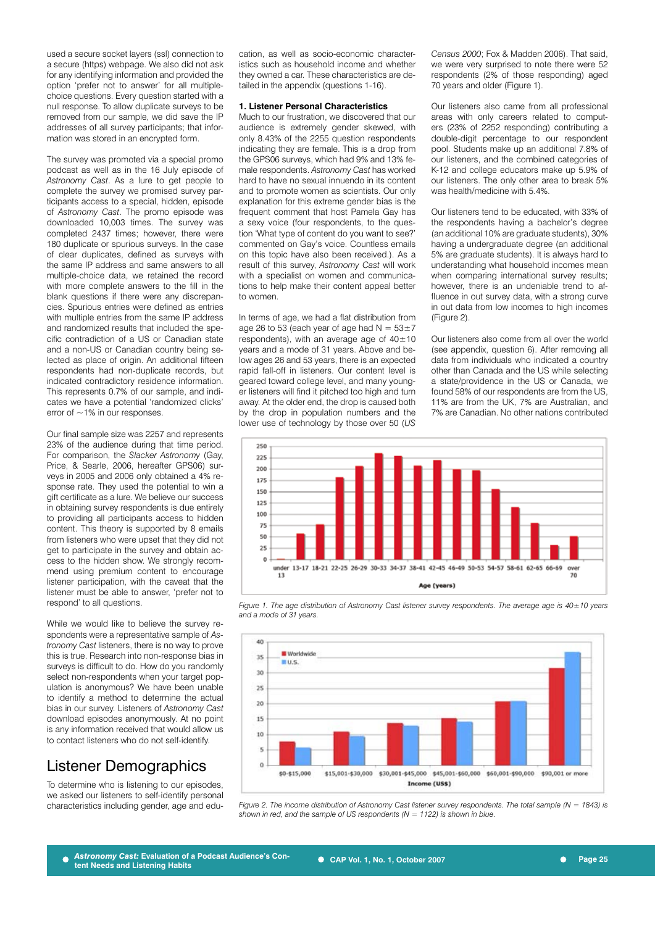used a secure socket layers (ssl) connection to a secure (https) webpage. We also did not ask for any identifying information and provided the option 'prefer not to answer' for all multiplechoice questions. Every question started with a null response. To allow duplicate surveys to be removed from our sample, we did save the IP addresses of all survey participants; that information was stored in an encrypted form.

The survey was promoted via a special promo podcast as well as in the 16 July episode of *Astronomy Cast*. As a lure to get people to complete the survey we promised survey participants access to a special, hidden, episode of *Astronomy Cast*. The promo episode was downloaded 10,003 times. The survey was completed 2437 times; however, there were 180 duplicate or spurious surveys. In the case of clear duplicates, defined as surveys with the same IP address and same answers to all multiple-choice data, we retained the record with more complete answers to the fill in the blank questions if there were any discrepancies. Spurious entries were defined as entries with multiple entries from the same IP address and randomized results that included the specific contradiction of a US or Canadian state and a non-US or Canadian country being selected as place of origin. An additional fifteen respondents had non-duplicate records, but indicated contradictory residence information. This represents 0.7% of our sample, and indicates we have a potential 'randomized clicks' error of  $\sim$  1% in our responses.

Our final sample size was 2257 and represents 23% of the audience during that time period. For comparison, the *Slacker Astronomy* (Gay, Price, & Searle, 2006, hereafter GPS06) surveys in 2005 and 2006 only obtained a 4% response rate. They used the potential to win a gift certificate as a lure. We believe our success in obtaining survey respondents is due entirely to providing all participants access to hidden content. This theory is supported by 8 emails from listeners who were upset that they did not get to participate in the survey and obtain access to the hidden show. We strongly recommend using premium content to encourage listener participation, with the caveat that the listener must be able to answer, 'prefer not to respond' to all questions.

While we would like to believe the survey respondents were a representative sample of *Astronomy Cast* listeners, there is no way to prove this is true. Research into non-response bias in surveys is difficult to do. How do you randomly select non-respondents when your target population is anonymous? We have been unable to identify a method to determine the actual bias in our survey. Listeners of *Astronomy Cast* download episodes anonymously. At no point is any information received that would allow us to contact listeners who do not self-identify.

# Listener Demographics

To determine who is listening to our episodes, we asked our listeners to self-identify personal characteristics including gender, age and education, as well as socio-economic characteristics such as household income and whether they owned a car. These characteristics are detailed in the appendix (questions 1-16).

#### **1. Listener Personal Characteristics**

Much to our frustration, we discovered that our audience is extremely gender skewed, with only 8.43% of the 2255 question respondents indicating they are female. This is a drop from the GPS06 surveys, which had 9% and 13% female respondents. *Astronomy Cast* has worked hard to have no sexual innuendo in its content and to promote women as scientists. Our only explanation for this extreme gender bias is the frequent comment that host Pamela Gay has a sexy voice (four respondents, to the question 'What type of content do you want to see?' commented on Gay's voice. Countless emails on this topic have also been received.). As a result of this survey, *Astronomy Cast* will work with a specialist on women and communications to help make their content appeal better to women.

In terms of age, we had a flat distribution from age 26 to 53 (each year of age had  $N = 53 \pm 7$ respondents), with an average age of  $40\pm10$ years and a mode of 31 years. Above and below ages 26 and 53 years, there is an expected rapid fall-off in listeners. Our content level is geared toward college level, and many younger listeners will find it pitched too high and turn away. At the older end, the drop is caused both by the drop in population numbers and the lower use of technology by those over 50 (*US*  *Census 2000*; Fox & Madden 2006). That said, we were very surprised to note there were 52 respondents (2% of those responding) aged 70 years and older (Figure 1).

Our listeners also came from all professional areas with only careers related to computers (23% of 2252 responding) contributing a double-digit percentage to our respondent pool. Students make up an additional 7.8% of our listeners, and the combined categories of K-12 and college educators make up 5.9% of our listeners. The only other area to break 5% was health/medicine with 5.4%.

Our listeners tend to be educated, with 33% of the respondents having a bachelor's degree (an additional 10% are graduate students), 30% having a undergraduate degree (an additional 5% are graduate students). It is always hard to understanding what household incomes mean when comparing international survey results; however, there is an undeniable trend to affluence in out survey data, with a strong curve in out data from low incomes to high incomes (Figure 2).

Our listeners also come from all over the world (see appendix, question 6). After removing all data from individuals who indicated a country other than Canada and the US while selecting a state/providence in the US or Canada, we found 58% of our respondents are from the US, 11% are from the UK, 7% are Australian, and 7% are Canadian. No other nations contributed



*Figure 1. The age distribution of Astronomy Cast listener survey respondents. The average age is 40±10 years and a mode of 31 years.*



*Figure 2. The income distribution of Astronomy Cast listener survey respondents. The total sample (N = 1843) is shown in red, and the sample of US respondents (N = 1122) is shown in blue.*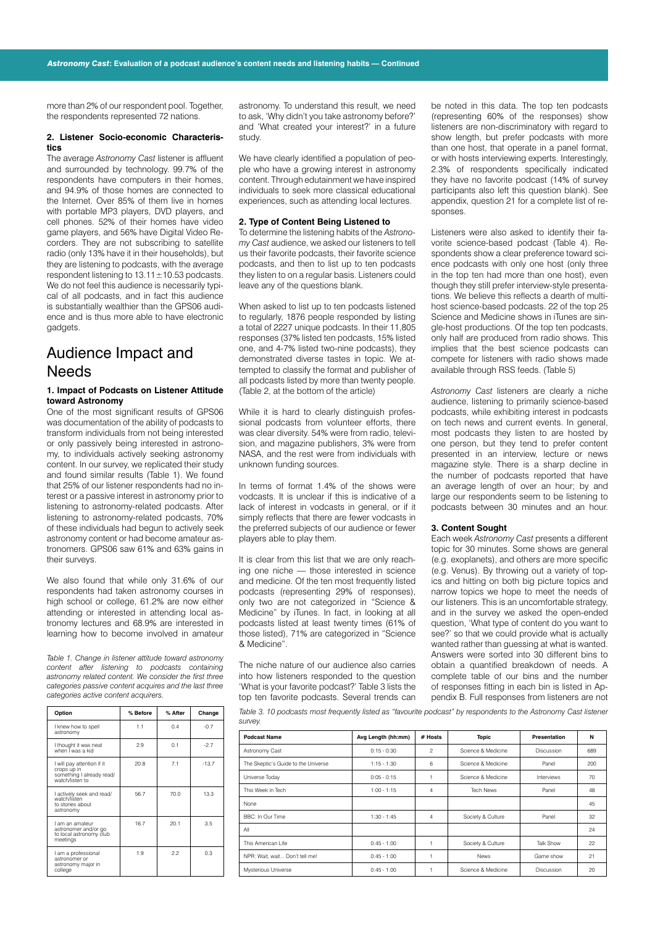more than 2% of our respondent pool. Together the respondents represented 72 nations.

#### **2. Listener Socio-economic Characteristics**

The average *Astronomy Cast* listener is affluent and surrounded by technology. 99.7% of the respondents have computers in their homes, and 94.9% of those homes are connected to the Internet. Over 85% of them live in homes with portable MP3 players, DVD players, and cell phones. 52% of their homes have video game players, and 56% have Digital Video Recorders. They are not subscribing to satellite radio (only 13% have it in their households), but they are listening to podcasts, with the average respondent listening to  $13.11 \pm 10.53$  podcasts. We do not feel this audience is necessarily typical of all podcasts, and in fact this audience is substantially wealthier than the GPS06 audience and is thus more able to have electronic gadgets.

### Audience Impact and **Needs**

#### **1. Impact of Podcasts on Listener Attitude toward Astronomy**

One of the most significant results of GPS06 was documentation of the ability of podcasts to transform individuals from not being interested or only passively being interested in astronomy, to individuals actively seeking astronomy content. In our survey, we replicated their study and found similar results (Table 1). We found that 25% of our listener respondents had no interest or a passive interest in astronomy prior to listening to astronomy-related podcasts. After listening to astronomy-related podcasts, 70% of these individuals had begun to actively seek astronomy content or had become amateur astronomers. GPS06 saw 61% and 63% gains in their surveys.

We also found that while only 31.6% of our respondents had taken astronomy courses in high school or college, 61.2% are now either attending or interested in attending local astronomy lectures and 68.9% are interested in learning how to become involved in amateur

*Table 1. Change in listener attitude toward astronomy content after listening to podcasts containing astronomy related content. We consider the first three categories passive content acquires and the last three categories active content acquirers.* 

|  | Option                                                                                    | % Before | % After | Change  |
|--|-------------------------------------------------------------------------------------------|----------|---------|---------|
|  | I knew how to spell<br>astronomy                                                          | 1.1      | 0.4     | $-0.7$  |
|  | I thought it was neat<br>when I was a kid                                                 | 2.9      | 0.1     | $-2.7$  |
|  | I will pay attention if it<br>crops up in<br>something I already read/<br>watch/listen to | 20.8     | 7.1     | $-13.7$ |
|  | I actively seek and read/<br>watch/listen<br>to stories about<br>astronomy                | 56.7     | 70.0    | 13.3    |
|  | I am an amateur<br>astronomer and/or go<br>to local astronomy club<br>meetings            | 16.7     | 20.1    | 3.5     |
|  | I am a professional<br>astronomer or<br>astronomy major in<br>college                     | 1.9      | 22      | 0.3     |

astronomy. To understand this result, we need to ask, 'Why didn't you take astronomy before?' and 'What created your interest?' in a future study.

We have clearly identified a population of people who have a growing interest in astronomy content. Through edutainment we have inspired individuals to seek more classical educational experiences, such as attending local lectures.

#### **2. Type of Content Being Listened to**

To determine the listening habits of the *Astronomy Cast* audience, we asked our listeners to tell us their favorite podcasts, their favorite science podcasts, and then to list up to ten podcasts they listen to on a regular basis. Listeners could leave any of the questions blank.

When asked to list up to ten podcasts listened to regularly, 1876 people responded by listing a total of 2227 unique podcasts. In their 11,805 responses (37% listed ten podcasts, 15% listed one, and 4-7% listed two-nine podcasts), they demonstrated diverse tastes in topic. We attempted to classify the format and publisher of all podcasts listed by more than twenty people. (Table 2, at the bottom of the article)

While it is hard to clearly distinguish professional podcasts from volunteer efforts, there was clear diversity. 54% were from radio, television, and magazine publishers, 3% were from NASA, and the rest were from individuals with unknown funding sources.

In terms of format 1.4% of the shows were vodcasts. It is unclear if this is indicative of a lack of interest in vodcasts in general, or if it simply reflects that there are fewer vodcasts in the preferred subjects of our audience or fewer players able to play them.

It is clear from this list that we are only reaching one niche — those interested in science and medicine. Of the ten most frequently listed podcasts (representing 29% of responses), only two are not categorized in "Science & Medicine" by iTunes. In fact, in looking at all podcasts listed at least twenty times (61% of those listed), 71% are categorized in "Science & Medicine".

The niche nature of our audience also carries into how listeners responded to the question 'What is your favorite podcast?' Table 3 lists the top ten favorite podcasts. Several trends can be noted in this data. The top ten podcasts (representing 60% of the responses) show listeners are non-discriminatory with regard to show length, but prefer podcasts with more than one host, that operate in a panel format, or with hosts interviewing experts. Interestingly, 2.3% of respondents specifically indicated they have no favorite podcast (14% of survey participants also left this question blank). See appendix, question 21 for a complete list of responses.

Listeners were also asked to identify their favorite science-based podcast (Table 4). Respondents show a clear preference toward science podcasts with only one host (only three in the top ten had more than one host), even though they still prefer interview-style presentations. We believe this reflects a dearth of multihost science-based podcasts. 22 of the top 25 Science and Medicine shows in iTunes are single-host productions. Of the top ten podcasts, only half are produced from radio shows. This implies that the best science podcasts can compete for listeners with radio shows made available through RSS feeds. (Table 5)

*Astronomy Cast* listeners are clearly a niche audience, listening to primarily science-based podcasts, while exhibiting interest in podcasts on tech news and current events. In general, most podcasts they listen to are hosted by one person, but they tend to prefer content presented in an interview, lecture or news magazine style. There is a sharp decline in the number of podcasts reported that have an average length of over an hour; by and large our respondents seem to be listening to podcasts between 30 minutes and an hour.

#### **3. Content Sought**

Each week *Astronomy Cast* presents a different topic for 30 minutes. Some shows are general (e.g. exoplanets), and others are more specific (e.g. Venus). By throwing out a variety of topics and hitting on both big picture topics and narrow topics we hope to meet the needs of our listeners. This is an uncomfortable strategy, and in the survey we asked the open-ended question, 'What type of content do you want to see?' so that we could provide what is actually wanted rather than guessing at what is wanted. Answers were sorted into 30 different bins to obtain a quantified breakdown of needs. A complete table of our bins and the number of responses fitting in each bin is listed in Appendix B. Full responses from listeners are not

*Table 3. 10 podcasts most frequently listed as "favourite podcast" by respondents to the Astronomy Cast listener survey.*

| <b>Podcast Name</b>                 | Avg Length (hh:mm) | # Hosts        | Topic              | Presentation | N   |
|-------------------------------------|--------------------|----------------|--------------------|--------------|-----|
| Astronomy Cast                      | $0:15 - 0:30$      | $\overline{c}$ | Science & Medicine | Discussion   | 689 |
| The Skeptic's Guide to the Universe | $1:15 - 1:30$      | 6              | Science & Medicine | Panel        | 200 |
| Universe Today                      | $0:05 - 0:15$      |                | Science & Medicine | Interviews   | 70  |
| This Week in Tech                   | $1:00 - 1:15$      | 4              | <b>Tech News</b>   | Panel        | 48  |
| None                                |                    |                |                    |              | 45  |
| BBC: In Our Time                    | $1:30 - 1:45$      | 4              | Society & Culture  | Panel        | 32  |
| All                                 |                    |                |                    |              | 24  |
| This American Life                  | $0:45 - 1:00$      |                | Society & Culture  | Talk Show    | 22  |
| NPR: Wait, wait Don't tell me!      | $0:45 - 1:00$      |                | <b>News</b>        | Game show    | 21  |
| Mysterious Universe                 | $0:45 - 1:00$      |                | Science & Medicine | Discussion   | 20  |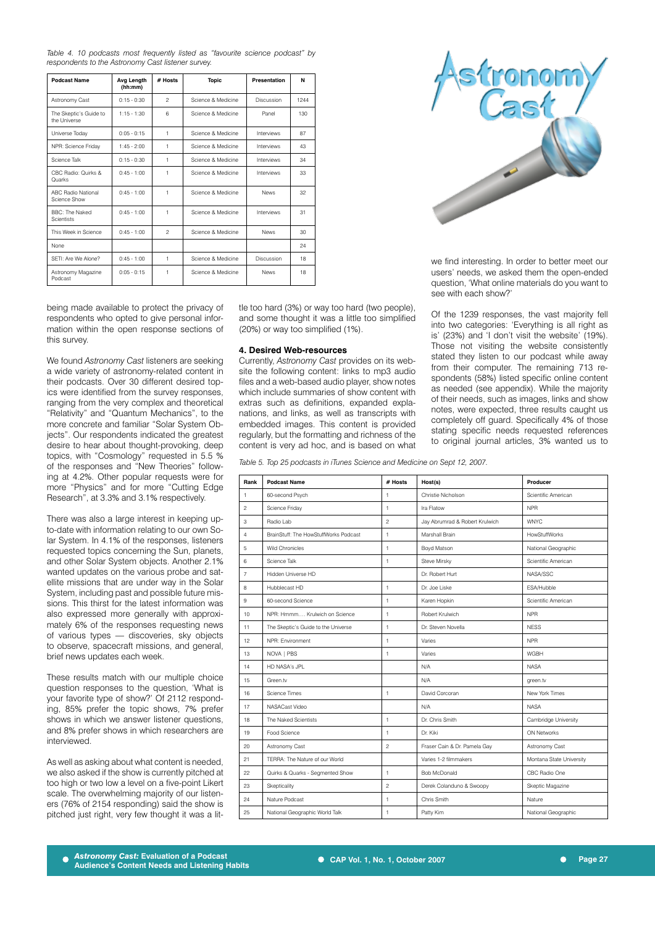*Table 4. 10 podcasts most frequently listed as "favourite science podcast" by respondents to the Astronomy Cast listener survey.*

| <b>Podcast Name</b>                        | Avg Length<br>(hh:mm) | # Hosts        | <b>Topic</b>       | Presentation | N    |
|--------------------------------------------|-----------------------|----------------|--------------------|--------------|------|
| Astronomy Cast                             | $0:15 - 0:30$         | $\mathfrak{p}$ | Science & Medicine | Discussion   | 1244 |
| The Skeptic's Guide to<br>the Universe     | $1:15 - 1:30$         | 6              | Science & Medicine | Panel        | 130  |
| Universe Today                             | $0:05 - 0:15$         | 1              | Science & Medicine | Interviews   | 87   |
| NPR: Science Friday                        | $1:45 - 2:00$         | 1              | Science & Medicine | Interviews   | 43   |
| Science Talk                               | $0:15 - 0:30$         | 1              | Science & Medicine | Interviews   | 34   |
| CBC Radio: Quirks &<br>Quarks              | $0:45 - 1:00$         | 1              | Science & Medicine | Interviews   | 33   |
| <b>ABC Radio National</b><br>Science Show  | $0:45 - 1:00$         | 1              | Science & Medicine | <b>News</b>  | 32   |
| <b>BBC: The Naked</b><br><b>Scientists</b> | $0:45 - 1:00$         | 1              | Science & Medicine | Interviews   | 31   |
| This Week in Science                       | $0:45 - 1:00$         | $\mathfrak{p}$ | Science & Medicine | <b>News</b>  | 30   |
| None                                       |                       |                |                    |              | 24   |
| SFTI: Are We Alone?                        | $0:45 - 1:00$         | 1              | Science & Medicine | Discussion   | 18   |
| Astronomy Magazine<br>Podcast              | $0:05 - 0:15$         | 1              | Science & Medicine | <b>News</b>  | 18   |

being made available to protect the privacy of respondents who opted to give personal information within the open response sections of this survey.

We found *Astronomy Cast* listeners are seeking a wide variety of astronomy-related content in their podcasts. Over 30 different desired topics were identified from the survey responses, ranging from the very complex and theoretical "Relativity" and "Quantum Mechanics", to the more concrete and familiar "Solar System Objects". Our respondents indicated the greatest desire to hear about thought-provoking, deep topics, with "Cosmology" requested in 5.5 % of the responses and "New Theories" following at 4.2%. Other popular requests were for more "Physics" and for more "Cutting Edge Research", at 3.3% and 3.1% respectively.

There was also a large interest in keeping upto-date with information relating to our own Solar System. In 4.1% of the responses, listeners requested topics concerning the Sun, planets, and other Solar System objects. Another 2.1% wanted updates on the various probe and satellite missions that are under way in the Solar System, including past and possible future missions. This thirst for the latest information was also expressed more generally with approximately 6% of the responses requesting news of various types — discoveries, sky objects to observe, spacecraft missions, and general, brief news updates each week.

These results match with our multiple choice question responses to the question, 'What is your favorite type of show?' Of 2112 responding, 85% prefer the topic shows, 7% prefer shows in which we answer listener questions, and 8% prefer shows in which researchers are interviewed.

As well as asking about what content is needed, we also asked if the show is currently pitched at too high or two low a level on a five-point Likert scale. The overwhelming majority of our listeners (76% of 2154 responding) said the show is pitched just right, very few thought it was a little too hard (3%) or way too hard (two people), and some thought it was a little too simplified (20%) or way too simplified (1%).

#### **4. Desired Web-resources**

Currently, *Astronomy Cast* provides on its website the following content: links to mp3 audio files and a web-based audio player, show notes which include summaries of show content with extras such as definitions, expanded explanations, and links, as well as transcripts with embedded images. This content is provided regularly, but the formatting and richness of the content is very ad hoc, and is based on what

*Table 5. Top 25 podcasts in iTunes Science and Medicine on Sept 12, 2007.*

| Rank           | <b>Podcast Name</b>                   | # Hosts        | Host(s)                        | Producer                 |
|----------------|---------------------------------------|----------------|--------------------------------|--------------------------|
| $\mathbf{1}$   | 60-second Psych                       | $\mathbf{1}$   | Christie Nicholson             | Scientific American      |
| $\overline{c}$ | Science Friday                        | $\mathbf{1}$   | Ira Flatow                     | <b>NPR</b>               |
| 3              | Radio Lab                             | $\mathfrak{p}$ | Jay Abrumrad & Robert Krulwich | <b>WNYC</b>              |
| 4              | BrainStuff: The HowStuffWorks Podcast | $\mathbf{1}$   | Marshall Brain                 | <b>HowStuffWorks</b>     |
| 5              | <b>Wild Chronicles</b>                | $\mathbf{1}$   | Boyd Matson                    | National Geographic      |
| 6              | Science Talk                          | $\mathbf{1}$   | Steve Mirsky                   | Scientific American      |
| $\overline{7}$ | Hidden Universe HD                    |                | Dr. Robert Hurt                | NASA/SSC                 |
| 8              | Hubblecast HD                         | $\mathbf{1}$   | Dr. Joe Liske                  | ESA/Hubble               |
| 9              | 60-second Science                     | $\mathbf{1}$   | Karen Hopkin                   | Scientific American      |
| 10             | NPR: Hmmm Krulwich on Science         | $\mathbf{1}$   | Robert Krulwich                | <b>NPR</b>               |
| 11             | The Skeptic's Guide to the Universe   | $\mathbf{1}$   | Dr. Steven Novella             | <b>NFSS</b>              |
| 12             | NPR: Environment                      | $\mathbf{1}$   | Varies                         | <b>NPR</b>               |
| 13             | NOVA   PBS                            | $\mathbf{1}$   | Varies                         | WGBH                     |
| 14             | HD NASA's JPI                         |                | N/A                            | <b>NASA</b>              |
| 15             | Green.tv                              |                | N/A                            | green.tv                 |
| 16             | Science Times                         | $\mathbf{1}$   | David Corcoran                 | New York Times           |
| 17             | NASACast Video                        |                | N/A                            | <b>NASA</b>              |
| 18             | The Naked Scientists                  | $\mathbf{1}$   | Dr. Chris Smith                | Cambridge University     |
| 19             | Food Science                          | $\mathbf{1}$   | Dr. Kiki                       | ON Networks              |
| 20             | Astronomy Cast                        | $\overline{c}$ | Fraser Cain & Dr. Pamela Gay   | Astronomy Cast           |
| 21             | TERRA: The Nature of our World        |                | Varies 1-2 filmmakers          | Montana State University |
| 22             | Quirks & Quarks - Segmented Show      | $\mathbf{1}$   | <b>Bob McDonald</b>            | CBC Radio One            |
| 23             | Skepticality                          | $\overline{c}$ | Derek Colanduno & Swoopy       | Skeptic Magazine         |
| 24             | Nature Podcast                        | $\mathbf{1}$   | Chris Smith                    | Nature                   |
| 25             | National Geographic World Talk        | $\mathbf{1}$   | Patty Kim                      | National Geographic      |



we find interesting. In order to better meet our users' needs, we asked them the open-ended question, 'What online materials do you want to see with each show?'

Of the 1239 responses, the vast majority fell into two categories: 'Everything is all right as is' (23%) and 'I don't visit the website' (19%). Those not visiting the website consistently stated they listen to our podcast while away from their computer. The remaining 713 respondents (58%) listed specific online content as needed (see appendix). While the majority of their needs, such as images, links and show notes, were expected, three results caught us completely off guard. Specifically 4% of those stating specific needs requested references to original journal articles, 3% wanted us to

**Page 27**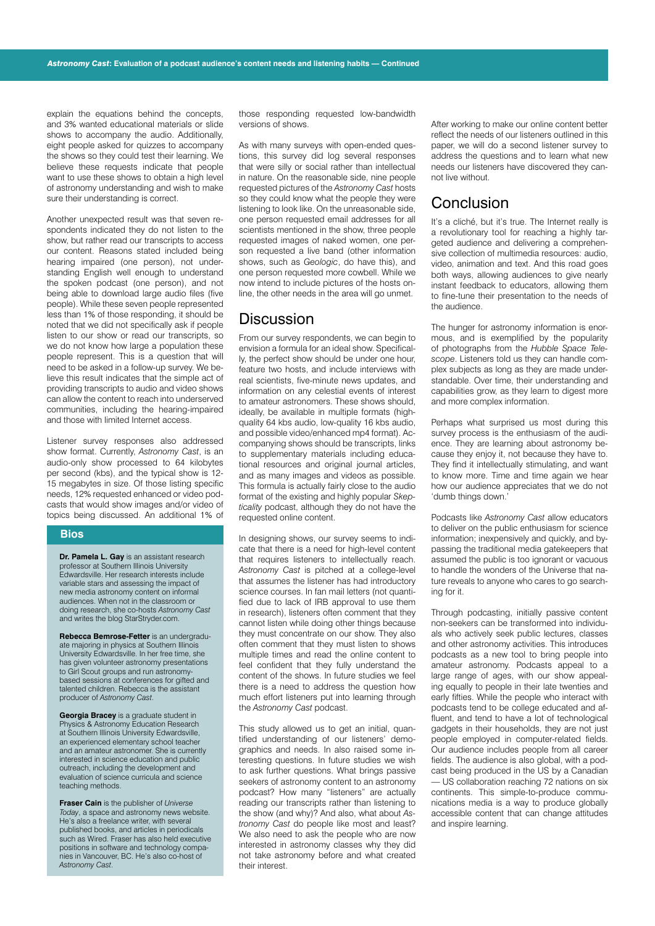explain the equations behind the concepts, and 3% wanted educational materials or slide shows to accompany the audio. Additionally, eight people asked for quizzes to accompany the shows so they could test their learning. We believe these requests indicate that people want to use these shows to obtain a high level of astronomy understanding and wish to make sure their understanding is correct.

Another unexpected result was that seven respondents indicated they do not listen to the show, but rather read our transcripts to access our content. Reasons stated included being hearing impaired (one person), not understanding English well enough to understand the spoken podcast (one person), and not being able to download large audio files (five people). While these seven people represented less than 1% of those responding, it should be noted that we did not specifically ask if people listen to our show or read our transcripts, so we do not know how large a population these people represent. This is a question that will need to be asked in a follow-up survey. We believe this result indicates that the simple act of providing transcripts to audio and video shows can allow the content to reach into underserved communities, including the hearing-impaired and those with limited Internet access.

Listener survey responses also addressed show format. Currently, *Astronomy Cast*, is an audio-only show processed to 64 kilobytes per second (kbs), and the typical show is 12- 15 megabytes in size. Of those listing specific needs, 12% requested enhanced or video podcasts that would show images and/or video of topics being discussed. An additional 1% of

#### **Bios**

**Dr. Pamela L. Gay** is an assistant research professor at Southern Illinois University Edwardsville. Her research interests include variable stars and assessing the impact of new media astronomy content on informal audiences. When not in the classroom or doing research, she co-hosts *Astronomy Cast* and writes the blog StarStryder.com.

**Rebecca Bemrose-Fetter** is an undergraduate majoring in physics at Southern Illinois University Edwardsville. In her free time, she has given volunteer astronomy presentations to Girl Scout groups and run astronomybased sessions at conferences for gifted and talented children. Rebecca is the assistant producer of *Astronomy Cast*.

**Georgia Bracey** is a graduate student in Physics & Astronomy Education Research at Southern Illinois University Edwardsville, an experienced elementary school teacher and an amateur astronomer. She is currently interested in science education and public outreach, including the development and evaluation of science curricula and science teaching methods.

**Fraser Cain** is the publisher of *Universe Today*, a space and astronomy news website. He's also a freelance writer, with several published books, and articles in periodicals such as Wired. Fraser has also held executive positions in software and technology companies in Vancouver, BC. He's also co-host of *Astronomy Cast*.

those responding requested low-bandwidth versions of shows.

As with many surveys with open-ended questions, this survey did log several responses that were silly or social rather than intellectual in nature. On the reasonable side, nine people requested pictures of the *Astronomy Cast* hosts so they could know what the people they were listening to look like. On the unreasonable side, one person requested email addresses for all scientists mentioned in the show, three people requested images of naked women, one person requested a live band (other information shows, such as *Geologic*, do have this), and one person requested more cowbell. While we now intend to include pictures of the hosts online, the other needs in the area will go unmet.

### **Discussion**

From our survey respondents, we can begin to envision a formula for an ideal show. Specifically, the perfect show should be under one hour, feature two hosts, and include interviews with real scientists, five-minute news updates, and information on any celestial events of interest to amateur astronomers. These shows should, ideally, be available in multiple formats (highquality 64 kbs audio, low-quality 16 kbs audio, and possible video/enhanced mp4 format). Accompanying shows should be transcripts, links to supplementary materials including educational resources and original journal articles, and as many images and videos as possible. This formula is actually fairly close to the audio format of the existing and highly popular *Skepticality* podcast, although they do not have the requested online content.

In designing shows, our survey seems to indicate that there is a need for high-level content that requires listeners to intellectually reach. *Astronomy Cast* is pitched at a college-level that assumes the listener has had introductory science courses. In fan mail letters (not quantified due to lack of IRB approval to use them in research), listeners often comment that they cannot listen while doing other things because they must concentrate on our show. They also often comment that they must listen to shows multiple times and read the online content to feel confident that they fully understand the content of the shows. In future studies we feel there is a need to address the question how much effort listeners put into learning through the *Astronomy Cast* podcast.

This study allowed us to get an initial, quantified understanding of our listeners' demographics and needs. In also raised some interesting questions. In future studies we wish to ask further questions. What brings passive seekers of astronomy content to an astronomy podcast? How many "listeners" are actually reading our transcripts rather than listening to the show (and why)? And also, what about *Astronomy Cast* do people like most and least? We also need to ask the people who are now interested in astronomy classes why they did not take astronomy before and what created their interest.

After working to make our online content better reflect the needs of our listeners outlined in this paper, we will do a second listener survey to address the questions and to learn what new needs our listeners have discovered they cannot live without.

### Conclusion

It's a cliché, but it's true. The Internet really is a revolutionary tool for reaching a highly targeted audience and delivering a comprehensive collection of multimedia resources: audio, video, animation and text. And this road goes both ways, allowing audiences to give nearly instant feedback to educators, allowing them to fine-tune their presentation to the needs of the audience.

The hunger for astronomy information is enormous, and is exemplified by the popularity of photographs from the *Hubble Space Telescope*. Listeners told us they can handle complex subjects as long as they are made understandable. Over time, their understanding and capabilities grow, as they learn to digest more and more complex information.

Perhaps what surprised us most during this survey process is the enthusiasm of the audience. They are learning about astronomy because they enjoy it, not because they have to. They find it intellectually stimulating, and want to know more. Time and time again we hear how our audience appreciates that we do not 'dumb things down.'

Podcasts like *Astronomy Cast* allow educators to deliver on the public enthusiasm for science information; inexpensively and quickly, and bypassing the traditional media gatekeepers that assumed the public is too ignorant or vacuous to handle the wonders of the Universe that nature reveals to anyone who cares to go searching for it.

Through podcasting, initially passive content non-seekers can be transformed into individuals who actively seek public lectures, classes and other astronomy activities. This introduces podcasts as a new tool to bring people into amateur astronomy. Podcasts appeal to a large range of ages, with our show appealing equally to people in their late twenties and early fifties. While the people who interact with podcasts tend to be college educated and affluent, and tend to have a lot of technological gadgets in their households, they are not just people employed in computer-related fields. Our audience includes people from all career fields. The audience is also global, with a podcast being produced in the US by a Canadian — US collaboration reaching 72 nations on six continents. This simple-to-produce communications media is a way to produce globally accessible content that can change attitudes and inspire learning.